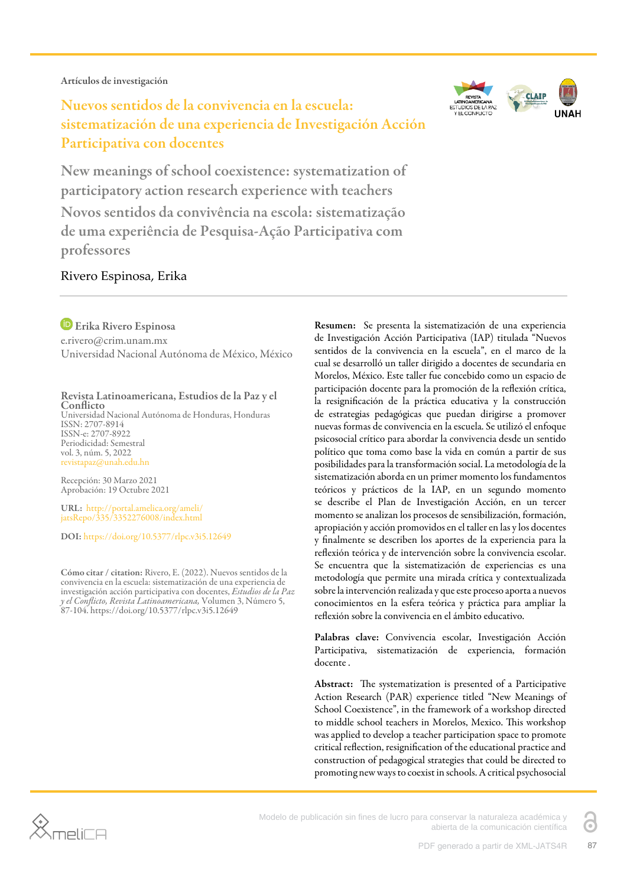Artículos de investigación

# Nuevos sentidos de la convivencia en la escuela: sistematización de una experiencia de Investigación Acción Participativa con docentes



New meanings of school coexistence: systematization of participatory action research experience with teachers Novos sentidos da convivência na escola: sistematização de uma experiência de Pesquisa-Ação Participativa com professores

#### Rivero Espinosa, Erika

Erika Rivero Espinosa e.rivero@crim.unam.mx Universidad Nacional Autónoma de México, México

#### Revista Latinoamericana, Estudios de la Paz y el **Conflicto**

Universidad Nacional Autónoma de Honduras, Honduras ISSN: 2707-8914 ISSN-e: 2707-8922 Periodicidad: Semestral vol. 3, núm. 5, 2022 revistapaz@unah.edu.hn

Recepción: 30 Marzo 2021 Aprobación: 19 Octubre 2021

URL: [http://portal.amelica.org/ameli/](http://portal.amelica.org/ameli/jatsRepo/335/3352276008/index.html) [jatsRepo/335/3352276008/index.html](http://portal.amelica.org/ameli/jatsRepo/335/3352276008/index.html)

DOI: <https://doi.org/10.5377/rlpc.v3i5.12649>

Cómo citar / citation: Rivero, E. (2022). Nuevos sentidos de la convivencia en la escuela: sistematización de una experiencia de investigación acción participativa con docentes, *Estudios de la Paz y el Conflicto, Revista Latinoamericana,* Volumen 3, Número 5, 87-104. https://doi.org/10.5377/rlpc.v3i5.12649

Resumen: Se presenta la sistematización de una experiencia de Investigación Acción Participativa (IAP) titulada "Nuevos sentidos de la convivencia en la escuela", en el marco de la cual se desarrolló un taller dirigido a docentes de secundaria en Morelos, México. Este taller fue concebido como un espacio de participación docente para la promoción de la reflexión crítica, la resignificación de la práctica educativa y la construcción de estrategias pedagógicas que puedan dirigirse a promover nuevas formas de convivencia en la escuela. Se utilizó el enfoque psicosocial crítico para abordar la convivencia desde un sentido político que toma como base la vida en común a partir de sus posibilidades para la transformación social. La metodología de la sistematización aborda en un primer momento los fundamentos teóricos y prácticos de la IAP, en un segundo momento se describe el Plan de Investigación Acción, en un tercer momento se analizan los procesos de sensibilización, formación, apropiación y acción promovidos en el taller en las y los docentes y finalmente se describen los aportes de la experiencia para la reflexión teórica y de intervención sobre la convivencia escolar. Se encuentra que la sistematización de experiencias es una metodología que permite una mirada crítica y contextualizada sobre la intervención realizada y que este proceso aporta a nuevos conocimientos en la esfera teórica y práctica para ampliar la reflexión sobre la convivencia en el ámbito educativo.

Palabras clave: Convivencia escolar, Investigación Acción Participativa, sistematización de experiencia, formación docente .

Abstract: The systematization is presented of a Participative Action Research (PAR) experience titled "New Meanings of School Coexistence", in the framework of a workshop directed to middle school teachers in Morelos, Mexico. This workshop was applied to develop a teacher participation space to promote critical reflection, resignification of the educational practice and construction of pedagogical strategies that could be directed to promoting new ways to coexist in schools. A critical psychosocial



Modelo de publicación sin fines de lucro para conservar la naturaleza académica y abierta de la comunicación científica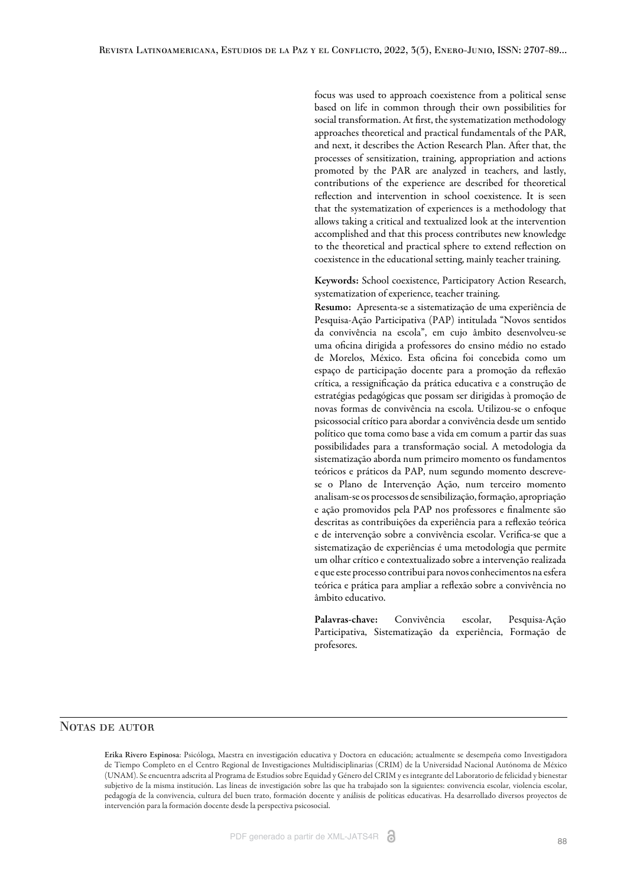focus was used to approach coexistence from a political sense based on life in common through their own possibilities for social transformation. At first, the systematization methodology approaches theoretical and practical fundamentals of the PAR, and next, it describes the Action Research Plan. After that, the processes of sensitization, training, appropriation and actions promoted by the PAR are analyzed in teachers, and lastly, contributions of the experience are described for theoretical reflection and intervention in school coexistence. It is seen that the systematization of experiences is a methodology that allows taking a critical and textualized look at the intervention accomplished and that this process contributes new knowledge to the theoretical and practical sphere to extend reflection on coexistence in the educational setting, mainly teacher training.

Keywords: School coexistence, Participatory Action Research, systematization of experience, teacher training.

Resumo: Apresenta-se a sistematização de uma experiência de Pesquisa-Ação Participativa (PAP) intitulada "Novos sentidos da convivência na escola", em cujo âmbito desenvolveu-se uma oficina dirigida a professores do ensino médio no estado de Morelos, México. Esta oficina foi concebida como um espaço de participação docente para a promoção da reflexão crítica, a ressignificação da prática educativa e a construção de estratégias pedagógicas que possam ser dirigidas à promoção de novas formas de convivência na escola. Utilizou-se o enfoque psicossocial crítico para abordar a convivência desde um sentido político que toma como base a vida em comum a partir das suas possibilidades para a transformação social. A metodologia da sistematização aborda num primeiro momento os fundamentos teóricos e práticos da PAP, num segundo momento descrevese o Plano de Intervenção Ação, num terceiro momento analisam-se os processos de sensibilização, formação, apropriação e ação promovidos pela PAP nos professores e finalmente são descritas as contribuições da experiência para a reflexão teórica e de intervenção sobre a convivência escolar. Verifica-se que a sistematização de experiências é uma metodologia que permite um olhar crítico e contextualizado sobre a intervenção realizada e que este processo contribui para novos conhecimentos na esfera teórica e prática para ampliar a reflexão sobre a convivência no âmbito educativo.

Palavras-chave: Convivência escolar, Pesquisa-Ação Participativa, Sistematização da experiência, Formação de profesores.

#### NOTAS DE AUTOR

Erika Rivero Espinosa: Psicóloga, Maestra en investigación educativa y Doctora en educación; actualmente se desempeña como Investigadora de Tiempo Completo en el Centro Regional de Investigaciones Multidisciplinarias (CRIM) de la Universidad Nacional Autónoma de México (UNAM). Se encuentra adscrita al Programa de Estudios sobre Equidad y Género del CRIM y es integrante del Laboratorio de felicidad y bienestar subjetivo de la misma institución. Las líneas de investigación sobre las que ha trabajado son la siguientes: convivencia escolar, violencia escolar, pedagogía de la convivencia, cultura del buen trato, formación docente y análisis de políticas educativas. Ha desarrollado diversos proyectos de intervención para la formación docente desde la perspectiva psicosocial.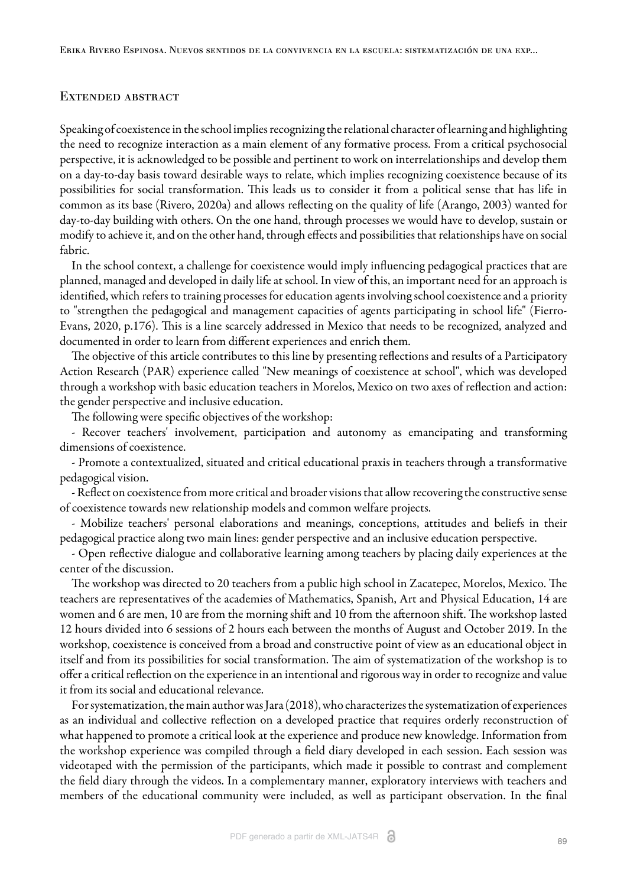#### Extended abstract

Speaking of coexistence in the school implies recognizing the relational character of learning and highlighting the need to recognize interaction as a main element of any formative process. From a critical psychosocial perspective, it is acknowledged to be possible and pertinent to work on interrelationships and develop them on a day-to-day basis toward desirable ways to relate, which implies recognizing coexistence because of its possibilities for social transformation. This leads us to consider it from a political sense that has life in common as its base [\(Rivero, 2020a](#page-17-0)) and allows reflecting on the quality of life [\(Arango, 2003\)](#page-16-0) wanted for day-to-day building with others. On the one hand, through processes we would have to develop, sustain or modify to achieve it, and on the other hand, through effects and possibilities that relationships have on social fabric.

In the school context, a challenge for coexistence would imply influencing pedagogical practices that are planned, managed and developed in daily life at school. In view of this, an important need for an approach is identified, which refers to training processes for education agents involving school coexistence and a priority to "strengthen the pedagogical and management capacities of agents participating in school life" [\(Fierro-](#page-16-1)[Evans, 2020, p.176\)](#page-16-1). This is a line scarcely addressed in Mexico that needs to be recognized, analyzed and documented in order to learn from different experiences and enrich them.

The objective of this article contributes to this line by presenting reflections and results of a Participatory Action Research (PAR) experience called "New meanings of coexistence at school", which was developed through a workshop with basic education teachers in Morelos, Mexico on two axes of reflection and action: the gender perspective and inclusive education.

The following were specific objectives of the workshop:

- Recover teachers' involvement, participation and autonomy as emancipating and transforming dimensions of coexistence.

- Promote a contextualized, situated and critical educational praxis in teachers through a transformative pedagogical vision.

- Reflect on coexistence from more critical and broader visions that allow recovering the constructive sense of coexistence towards new relationship models and common welfare projects.

- Mobilize teachers' personal elaborations and meanings, conceptions, attitudes and beliefs in their pedagogical practice along two main lines: gender perspective and an inclusive education perspective.

- Open reflective dialogue and collaborative learning among teachers by placing daily experiences at the center of the discussion.

The workshop was directed to 20 teachers from a public high school in Zacatepec, Morelos, Mexico. The teachers are representatives of the academies of Mathematics, Spanish, Art and Physical Education, 14 are women and 6 are men, 10 are from the morning shift and 10 from the afternoon shift. The workshop lasted 12 hours divided into 6 sessions of 2 hours each between the months of August and October 2019. In the workshop, coexistence is conceived from a broad and constructive point of view as an educational object in itself and from its possibilities for social transformation. The aim of systematization of the workshop is to offer a critical reflection on the experience in an intentional and rigorous way in order to recognize and value it from its social and educational relevance.

For systematization, the main author was [Jara \(2018\)](#page-17-1), who characterizes the systematization of experiences as an individual and collective reflection on a developed practice that requires orderly reconstruction of what happened to promote a critical look at the experience and produce new knowledge. Information from the workshop experience was compiled through a field diary developed in each session. Each session was videotaped with the permission of the participants, which made it possible to contrast and complement the field diary through the videos. In a complementary manner, exploratory interviews with teachers and members of the educational community were included, as well as participant observation. In the final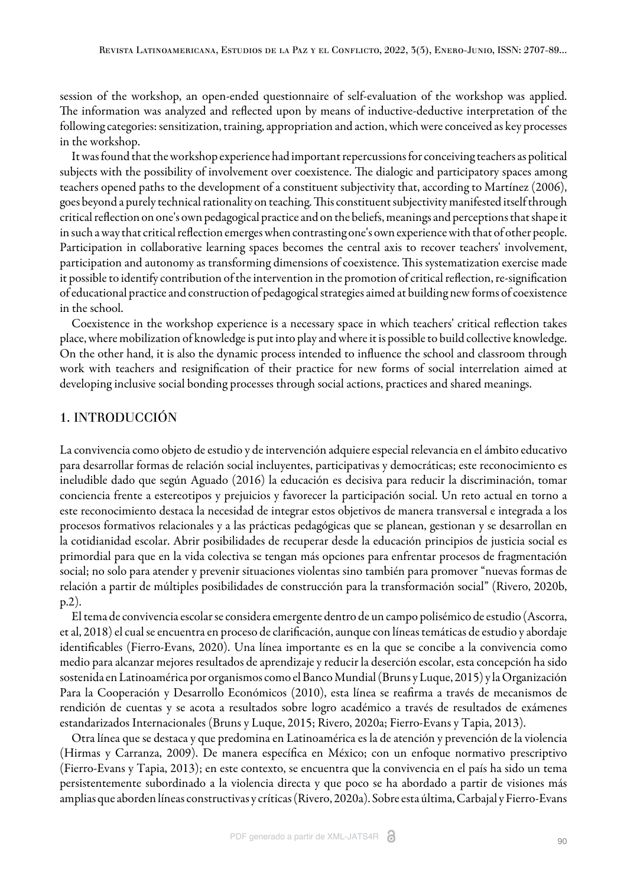session of the workshop, an open-ended questionnaire of self-evaluation of the workshop was applied. The information was analyzed and reflected upon by means of inductive-deductive interpretation of the following categories: sensitization, training, appropriation and action, which were conceived as key processes in the workshop.

It was found that the workshop experience had important repercussions for conceiving teachers as political subjects with the possibility of involvement over coexistence. The dialogic and participatory spaces among teachers opened paths to the development of a constituent subjectivity that, according to [Martínez \(2006\)](#page-17-2), goes beyond a purely technical rationality on teaching. This constituent subjectivity manifested itself through critical reflection on one's own pedagogical practice and on the beliefs, meanings and perceptions that shape it in such a way that critical reflection emerges when contrasting one's own experience with that of other people. Participation in collaborative learning spaces becomes the central axis to recover teachers' involvement, participation and autonomy as transforming dimensions of coexistence. This systematization exercise made it possible to identify contribution of the intervention in the promotion of critical reflection, re-signification of educational practice and construction of pedagogical strategies aimed at building new forms of coexistence in the school.

Coexistence in the workshop experience is a necessary space in which teachers' critical reflection takes place, where mobilization of knowledge is put into play and where it is possible to build collective knowledge. On the other hand, it is also the dynamic process intended to influence the school and classroom through work with teachers and resignification of their practice for new forms of social interrelation aimed at developing inclusive social bonding processes through social actions, practices and shared meanings.

#### 1. INTRODUCCIÓN

La convivencia como objeto de estudio y de intervención adquiere especial relevancia en el ámbito educativo para desarrollar formas de relación social incluyentes, participativas y democráticas; este reconocimiento es ineludible dado que según [Aguado \(2016\)](#page-16-2) la educación es decisiva para reducir la discriminación, tomar conciencia frente a estereotipos y prejuicios y favorecer la participación social. Un reto actual en torno a este reconocimiento destaca la necesidad de integrar estos objetivos de manera transversal e integrada a los procesos formativos relacionales y a las prácticas pedagógicas que se planean, gestionan y se desarrollan en la cotidianidad escolar. Abrir posibilidades de recuperar desde la educación principios de justicia social es primordial para que en la vida colectiva se tengan más opciones para enfrentar procesos de fragmentación social; no solo para atender y prevenir situaciones violentas sino también para promover "nuevas formas de relación a partir de múltiples posibilidades de construcción para la transformación social" [\(Rivero, 2020b,](#page-17-3) [p.2\)](#page-17-3).

El tema de convivencia escolar se considera emergente dentro de un campo polisémico de estudio ([Ascorra,](#page-16-3) [et al, 2018\)](#page-16-3) el cual se encuentra en proceso de clarificación, aunque con líneas temáticas de estudio y abordaje identificables [\(Fierro-Evans, 2020](#page-16-1)). Una línea importante es en la que se concibe a la convivencia como medio para alcanzar mejores resultados de aprendizaje y reducir la deserción escolar, esta concepción ha sido sostenida en Latinoamérica por organismos como el Banco Mundial ([Bruns y Luque, 2015](#page-16-4)) y la [Organización](#page-17-4) [Para la Cooperación y Desarrollo Económicos \(2010\),](#page-17-4) esta línea se reafirma a través de mecanismos de rendición de cuentas y se acota a resultados sobre logro académico a través de resultados de exámenes estandarizados Internacionales [\(Bruns y Luque, 2015](#page-16-4); [Rivero, 2020a;](#page-17-0) [Fierro-Evans y Tapia, 2013\)](#page-16-5).

Otra línea que se destaca y que predomina en Latinoamérica es la de atención y prevención de la violencia ([Hirmas y Carranza, 2009\).](#page-17-5) De manera específica en México; con un enfoque normativo prescriptivo ([Fierro-Evans y Tapia, 2013](#page-16-5)); en este contexto, se encuentra que la convivencia en el país ha sido un tema persistentemente subordinado a la violencia directa y que poco se ha abordado a partir de visiones más amplias que aborden líneas constructivas y críticas ([Rivero, 2020a](#page-17-0)). Sobre esta última[, Carbajal y Fierro-Evans](#page-16-6)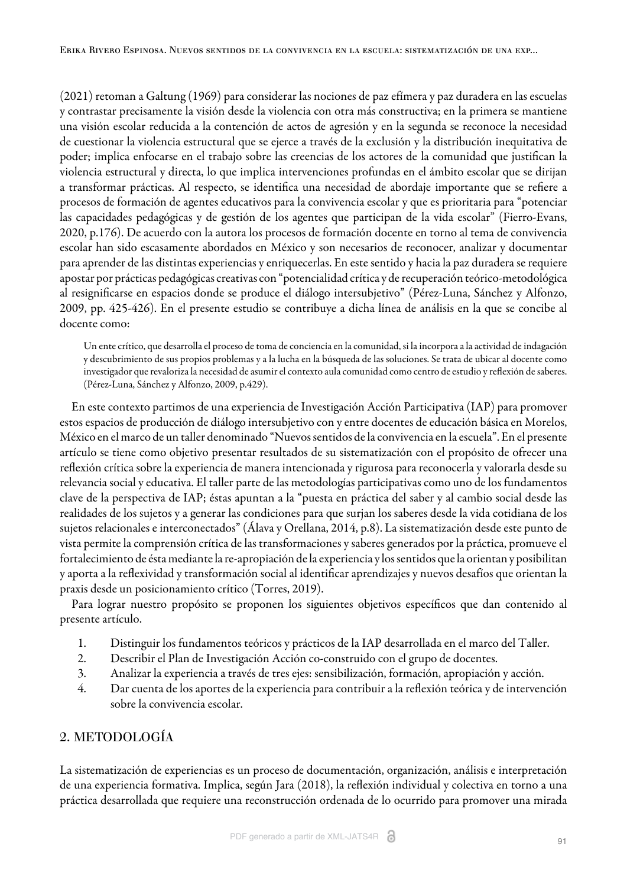[\(2021\)](#page-16-6) retoman a [Galtung \(1969\)](#page-16-7) para considerar las nociones de paz efímera y paz duradera en las escuelas y contrastar precisamente la visión desde la violencia con otra más constructiva; en la primera se mantiene una visión escolar reducida a la contención de actos de agresión y en la segunda se reconoce la necesidad de cuestionar la violencia estructural que se ejerce a través de la exclusión y la distribución inequitativa de poder; implica enfocarse en el trabajo sobre las creencias de los actores de la comunidad que justifican la violencia estructural y directa, lo que implica intervenciones profundas en el ámbito escolar que se dirijan a transformar prácticas. Al respecto, se identifica una necesidad de abordaje importante que se refiere a procesos de formación de agentes educativos para la convivencia escolar y que es prioritaria para "potenciar las capacidades pedagógicas y de gestión de los agentes que participan de la vida escolar" ([Fierro-Evans,](#page-16-1) [2020, p.176\).](#page-16-1) De acuerdo con la autora los procesos de formación docente en torno al tema de convivencia escolar han sido escasamente abordados en México y son necesarios de reconocer, analizar y documentar para aprender de las distintas experiencias y enriquecerlas. En este sentido y hacia la paz duradera se requiere apostar por prácticas pedagógicas creativas con "potencialidad crítica y de recuperación teórico-metodológica al resignificarse en espacios donde se produce el diálogo intersubjetivo" [\(Pérez-Luna, Sánchez y Alfonzo,](#page-17-6) [2009, pp. 425-426\)](#page-17-6). En el presente estudio se contribuye a dicha línea de análisis en la que se concibe al docente como:

Un ente crítico, que desarrolla el proceso de toma de conciencia en la comunidad, si la incorpora a la actividad de indagación y descubrimiento de sus propios problemas y a la lucha en la búsqueda de las soluciones. Se trata de ubicar al docente como investigador que revaloriza la necesidad de asumir el contexto aula comunidad como centro de estudio y reflexión de saberes. ([Pérez-Luna, Sánchez y Alfonzo, 2009, p.429\)](#page-17-6).

En este contexto partimos de una experiencia de Investigación Acción Participativa (IAP) para promover estos espacios de producción de diálogo intersubjetivo con y entre docentes de educación básica en Morelos, México en el marco de un taller denominado "Nuevos sentidos de la convivencia en la escuela". En el presente artículo se tiene como objetivo presentar resultados de su sistematización con el propósito de ofrecer una reflexión crítica sobre la experiencia de manera intencionada y rigurosa para reconocerla y valorarla desde su relevancia social y educativa. El taller parte de las metodologías participativas como uno de los fundamentos clave de la perspectiva de IAP; éstas apuntan a la "puesta en práctica del saber y al cambio social desde las realidades de los sujetos y a generar las condiciones para que surjan los saberes desde la vida cotidiana de los sujetos relacionales e interconectados" [\(Álava y Orellana, 2014, p.8\)](#page-16-8). La sistematización desde este punto de vista permite la comprensión crítica de las transformaciones y saberes generados por la práctica, promueve el fortalecimiento de ésta mediante la re-apropiación de la experiencia y los sentidos que la orientan y posibilitan y aporta a la reflexividad y transformación social al identificar aprendizajes y nuevos desafíos que orientan la praxis desde un posicionamiento crítico [\(Torres, 2019\)](#page-17-7).

Para lograr nuestro propósito se proponen los siguientes objetivos específicos que dan contenido al presente artículo.

- 1. Distinguir los fundamentos teóricos y prácticos de la IAP desarrollada en el marco del Taller.
- 2. Describir el Plan de Investigación Acción co-construido con el grupo de docentes.
- 3. Analizar la experiencia a través de tres ejes: sensibilización, formación, apropiación y acción.
- 4. Dar cuenta de los aportes de la experiencia para contribuir a la reflexión teórica y de intervención sobre la convivencia escolar.

#### 2. METODOLOGÍA

La sistematización de experiencias es un proceso de documentación, organización, análisis e interpretación de una experiencia formativa. Implica, según [Jara \(2018\)](#page-17-1), la reflexión individual y colectiva en torno a una práctica desarrollada que requiere una reconstrucción ordenada de lo ocurrido para promover una mirada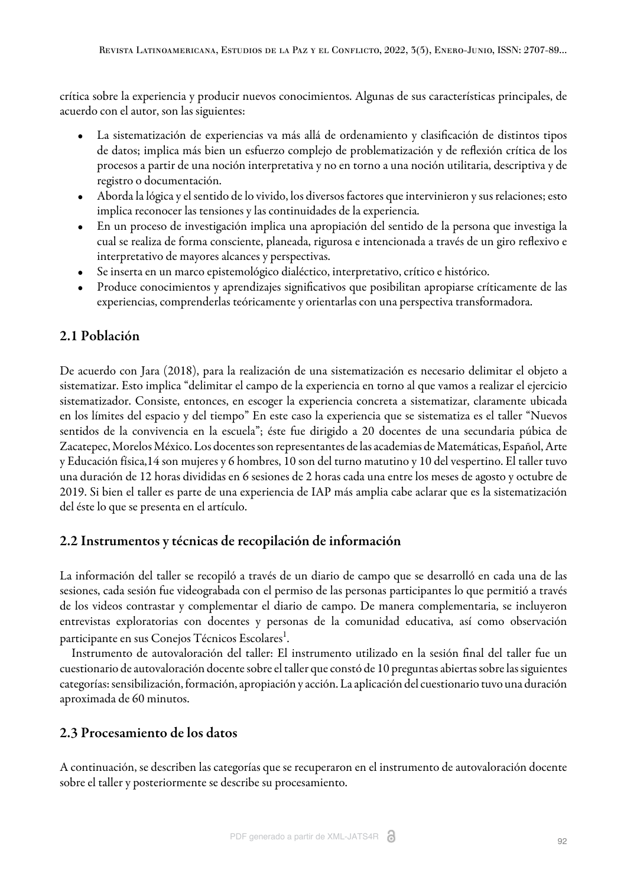crítica sobre la experiencia y producir nuevos conocimientos. Algunas de sus características principales, de acuerdo con el autor, son las siguientes:

- La sistematización de experiencias va más allá de ordenamiento y clasificación de distintos tipos de datos; implica más bien un esfuerzo complejo de problematización y de reflexión crítica de los procesos a partir de una noción interpretativa y no en torno a una noción utilitaria, descriptiva y de registro o documentación.
- Aborda la lógica y el sentido de lo vivido, los diversos factores que intervinieron y sus relaciones; esto implica reconocer las tensiones y las continuidades de la experiencia.
- En un proceso de investigación implica una apropiación del sentido de la persona que investiga la cual se realiza de forma consciente, planeada, rigurosa e intencionada a través de un giro reflexivo e interpretativo de mayores alcances y perspectivas.
- Se inserta en un marco epistemológico dialéctico, interpretativo, crítico e histórico.
- Produce conocimientos y aprendizajes significativos que posibilitan apropiarse críticamente de las experiencias, comprenderlas teóricamente y orientarlas con una perspectiva transformadora.

## 2.1 Población

De acuerdo con [Jara \(2018\),](#page-17-1) para la realización de una sistematización es necesario delimitar el objeto a sistematizar. Esto implica "delimitar el campo de la experiencia en torno al que vamos a realizar el ejercicio sistematizador. Consiste, entonces, en escoger la experiencia concreta a sistematizar, claramente ubicada en los límites del espacio y del tiempo" En este caso la experiencia que se sistematiza es el taller "Nuevos sentidos de la convivencia en la escuela"; éste fue dirigido a 20 docentes de una secundaria púbica de Zacatepec, Morelos México. Los docentes son representantes de las academias de Matemáticas, Español, Arte y Educación física,14 son mujeres y 6 hombres, 10 son del turno matutino y 10 del vespertino. El taller tuvo una duración de 12 horas divididas en 6 sesiones de 2 horas cada una entre los meses de agosto y octubre de 2019. Si bien el taller es parte de una experiencia de IAP más amplia cabe aclarar que es la sistematización del éste lo que se presenta en el artículo.

## 2.2 Instrumentos y técnicas de recopilación de información

La información del taller se recopiló a través de un diario de campo que se desarrolló en cada una de las sesiones, cada sesión fue videograbada con el permiso de las personas participantes lo que permitió a través de los videos contrastar y complementar el diario de campo. De manera complementaria, se incluyeron entrevistas exploratorias con docentes y personas de la comunidad educativa, así como observación participante en sus Conejos Técnicos Escolares<sup>[1](#page-17-8)</sup>.

Instrumento de autovaloración del taller: El instrumento utilizado en la sesión final del taller fue un cuestionario de autovaloración docente sobre el taller que constó de 10 preguntas abiertas sobre las siguientes categorías: sensibilización, formación, apropiación y acción. La aplicación del cuestionario tuvo una duración aproximada de 60 minutos.

## 2.3 Procesamiento de los datos

A continuación, se describen las categorías que se recuperaron en el instrumento de autovaloración docente sobre el taller y posteriormente se describe su procesamiento.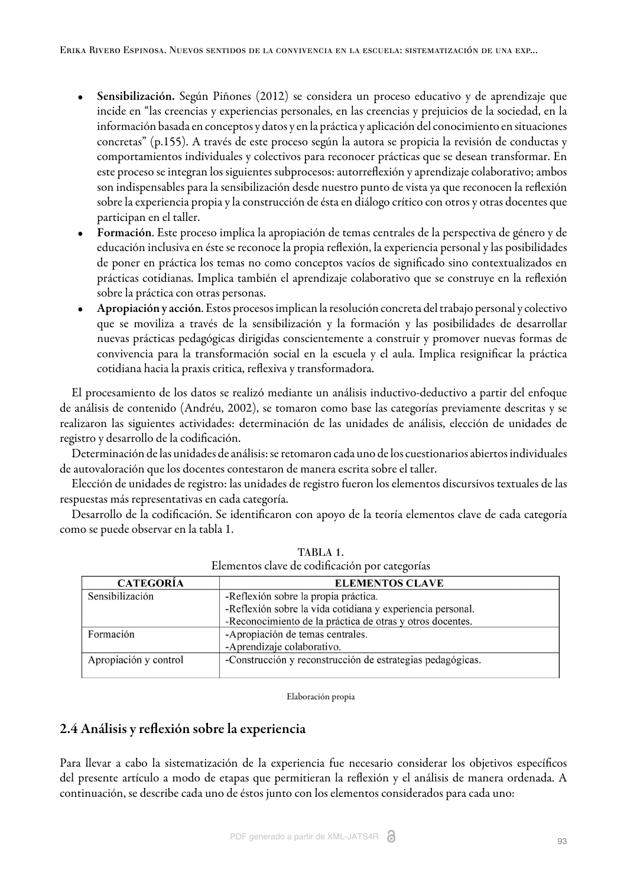- Sensibilización. Según [Piñones \(2012\)](#page-17-9) se considera un proceso educativo y de aprendizaje que incide en "las creencias y experiencias personales, en las creencias y prejuicios de la sociedad, en la información basada en conceptos y datos y en la práctica y aplicación del conocimiento en situaciones concretas" (p.155). A través de este proceso según la autora se propicia la revisión de conductas y comportamientos individuales y colectivos para reconocer prácticas que se desean transformar. En este proceso se integran los siguientes subprocesos: autorreflexión y aprendizaje colaborativo; ambos son indispensables para la sensibilización desde nuestro punto de vista ya que reconocen la reflexión sobre la experiencia propia y la construcción de ésta en diálogo crítico con otros y otras docentes que participan en el taller.
- Formación. Este proceso implica la apropiación de temas centrales de la perspectiva de género y de educación inclusiva en éste se reconoce la propia reflexión, la experiencia personal y las posibilidades de poner en práctica los temas no como conceptos vacíos de significado sino contextualizados en prácticas cotidianas. Implica también el aprendizaje colaborativo que se construye en la reflexión sobre la práctica con otras personas.
- Apropiación y acción. Estos procesos implican la resolución concreta del trabajo personal y colectivo que se moviliza a través de la sensibilización y la formación y las posibilidades de desarrollar nuevas prácticas pedagógicas dirigidas conscientemente a construir y promover nuevas formas de convivencia para la transformación social en la escuela y el aula. Implica resignificar la práctica cotidiana hacia la praxis critica, reflexiva y transformadora.

El procesamiento de los datos se realizó mediante un análisis inductivo-deductivo a partir del enfoque de análisis de contenido [\(Andréu, 2002](#page-16-9)), se tomaron como base las categorías previamente descritas y se realizaron las siguientes actividades: determinación de las unidades de análisis, elección de unidades de registro y desarrollo de la codificación.

Determinación de las unidades de análisis: se retomaron cada uno de los cuestionarios abiertos individuales de autovaloración que los docentes contestaron de manera escrita sobre el taller.

Elección de unidades de registro: las unidades de registro fueron los elementos discursivos textuales de las respuestas más representativas en cada categoría.

<span id="page-6-0"></span>Desarrollo de la codificación. Se identificaron con apoyo de la teoría elementos clave de cada categoría como se puede observar en la [tabla 1.](#page-6-0)

| Exementos clave de coumeación por eategorías |                                                            |  |  |
|----------------------------------------------|------------------------------------------------------------|--|--|
| <b>CATEGORÍA</b>                             | <b>ELEMENTOS CLAVE</b>                                     |  |  |
| Sensibilización                              | -Reflexión sobre la propia práctica.                       |  |  |
|                                              | -Reflexión sobre la vida cotidiana y experiencia personal. |  |  |
|                                              | -Reconocimiento de la práctica de otras y otros docentes.  |  |  |
| Formación                                    | -Apropiación de temas centrales.                           |  |  |
|                                              | -Aprendizaje colaborativo.                                 |  |  |
| Apropiación y control                        | -Construcción y reconstrucción de estrategias pedagógicas. |  |  |
|                                              |                                                            |  |  |

TABLA 1. Elementos clave de codificación por categorías

Elaboración propia

## 2.4 Análisis y reflexión sobre la experiencia

Para llevar a cabo la sistematización de la experiencia fue necesario considerar los objetivos específicos del presente artículo a modo de etapas que permitieran la reflexión y el análisis de manera ordenada. A continuación, se describe cada uno de éstos junto con los elementos considerados para cada uno: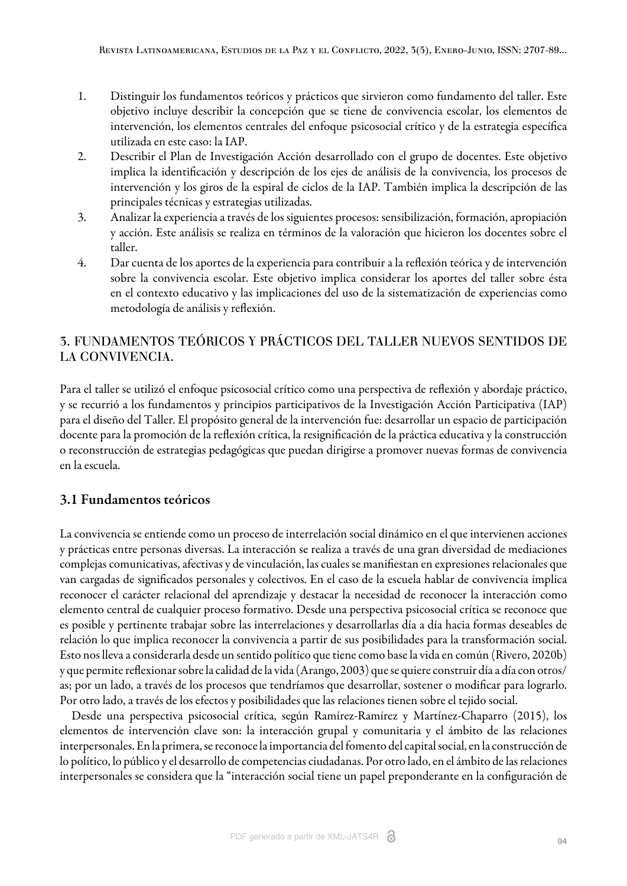- 1. Distinguir los fundamentos teóricos y prácticos que sirvieron como fundamento del taller. Este objetivo incluye describir la concepción que se tiene de convivencia escolar, los elementos de intervención, los elementos centrales del enfoque psicosocial crítico y de la estrategia específica utilizada en este caso: la IAP.
- 2. Describir el Plan de Investigación Acción desarrollado con el grupo de docentes. Este objetivo implica la identificación y descripción de los ejes de análisis de la convivencia, los procesos de intervención y los giros de la espiral de ciclos de la IAP. También implica la descripción de las principales técnicas y estrategias utilizadas.
- 3. Analizar la experiencia a través de los siguientes procesos: sensibilización, formación, apropiación y acción. Este análisis se realiza en términos de la valoración que hicieron los docentes sobre el taller.
- 4. Dar cuenta de los aportes de la experiencia para contribuir a la reflexión teórica y de intervención sobre la convivencia escolar. Este objetivo implica considerar los aportes del taller sobre ésta en el contexto educativo y las implicaciones del uso de la sistematización de experiencias como metodología de análisis y reflexión.

## 3. FUNDAMENTOS TEÓRICOS Y PRÁCTICOS DEL TALLER NUEVOS SENTIDOS DE LA CONVIVENCIA.

Para el taller se utilizó el enfoque psicosocial crítico como una perspectiva de reflexión y abordaje práctico, y se recurrió a los fundamentos y principios participativos de la Investigación Acción Participativa (IAP) para el diseño del Taller. El propósito general de la intervención fue: desarrollar un espacio de participación docente para la promoción de la reflexión crítica, la resignificación de la práctica educativa y la construcción o reconstrucción de estrategias pedagógicas que puedan dirigirse a promover nuevas formas de convivencia en la escuela.

## 3.1 Fundamentos teóricos

La convivencia se entiende como un proceso de interrelación social dinámico en el que intervienen acciones y prácticas entre personas diversas. La interacción se realiza a través de una gran diversidad de mediaciones complejas comunicativas, afectivas y de vinculación, las cuales se manifiestan en expresiones relacionales que van cargadas de significados personales y colectivos. En el caso de la escuela hablar de convivencia implica reconocer el carácter relacional del aprendizaje y destacar la necesidad de reconocer la interacción como elemento central de cualquier proceso formativo. Desde una perspectiva psicosocial crítica se reconoce que es posible y pertinente trabajar sobre las interrelaciones y desarrollarlas día a día hacia formas deseables de relación lo que implica reconocer la convivencia a partir de sus posibilidades para la transformación social. Esto nos lleva a considerarla desde un sentido político que tiene como base la vida en común ([Rivero, 2020b](#page-17-3)) y que permite reflexionar sobre la calidad de la vida [\(Arango, 2003\)](#page-16-0) que se quiere construir día a día con otros/ as; por un lado, a través de los procesos que tendríamos que desarrollar, sostener o modificar para lograrlo. Por otro lado, a través de los efectos y posibilidades que las relaciones tienen sobre el tejido social.

Desde una perspectiva psicosocial crítica, segú[n Ramírez-Ramírez y Martínez-Chaparro \(2015\),](#page-17-10) los elementos de intervención clave son: la interacción grupal y comunitaria y el ámbito de las relaciones interpersonales. En la primera, se reconoce la importancia del fomento del capital social, en la construcción de lo político, lo público y el desarrollo de competencias ciudadanas. Por otro lado, en el ámbito de las relaciones interpersonales se considera que la "interacción social tiene un papel preponderante en la configuración de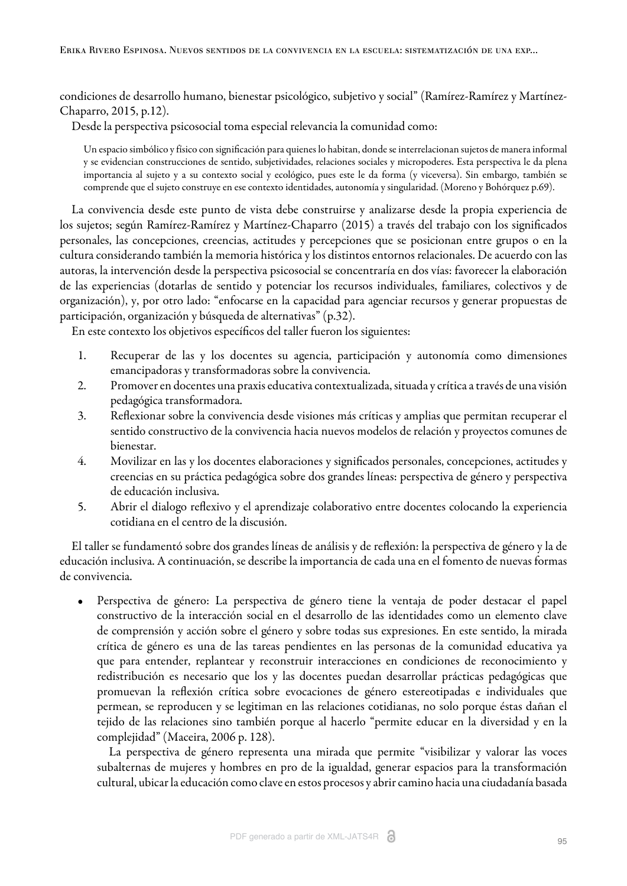condiciones de desarrollo humano, bienestar psicológico, subjetivo y social" [\(Ramírez-Ramírez y Martínez-](#page-17-10)[Chaparro, 2015, p.12\)](#page-17-10).

Desde la perspectiva psicosocial toma especial relevancia la comunidad como:

Un espacio simbólico y físico con significación para quienes lo habitan, donde se interrelacionan sujetos de manera informal y se evidencian construcciones de sentido, subjetividades, relaciones sociales y micropoderes. Esta perspectiva le da plena importancia al sujeto y a su contexto social y ecológico, pues este le da forma (y viceversa). Sin embargo, también se comprende que el sujeto construye en ese contexto identidades, autonomía y singularidad. ([Moreno y Bohórquez p.69](#page-17-11)).

La convivencia desde este punto de vista debe construirse y analizarse desde la propia experiencia de los sujetos; según [Ramírez-Ramírez y Martínez-Chaparro \(2015\)](#page-17-10) a través del trabajo con los significados personales, las concepciones, creencias, actitudes y percepciones que se posicionan entre grupos o en la cultura considerando también la memoria histórica y los distintos entornos relacionales. De acuerdo con las autoras, la intervención desde la perspectiva psicosocial se concentraría en dos vías: favorecer la elaboración de las experiencias (dotarlas de sentido y potenciar los recursos individuales, familiares, colectivos y de organización), y, por otro lado: "enfocarse en la capacidad para agenciar recursos y generar propuestas de participación, organización y búsqueda de alternativas" (p.32).

En este contexto los objetivos específicos del taller fueron los siguientes:

- 1. Recuperar de las y los docentes su agencia, participación y autonomía como dimensiones emancipadoras y transformadoras sobre la convivencia.
- 2. Promover en docentes una praxis educativa contextualizada, situada y crítica a través de una visión pedagógica transformadora.
- 3. Reflexionar sobre la convivencia desde visiones más críticas y amplias que permitan recuperar el sentido constructivo de la convivencia hacia nuevos modelos de relación y proyectos comunes de bienestar.
- 4. Movilizar en las y los docentes elaboraciones y significados personales, concepciones, actitudes y creencias en su práctica pedagógica sobre dos grandes líneas: perspectiva de género y perspectiva de educación inclusiva.
- 5. Abrir el dialogo reflexivo y el aprendizaje colaborativo entre docentes colocando la experiencia cotidiana en el centro de la discusión.

El taller se fundamentó sobre dos grandes líneas de análisis y de reflexión: la perspectiva de género y la de educación inclusiva. A continuación, se describe la importancia de cada una en el fomento de nuevas formas de convivencia.

• Perspectiva de género: La perspectiva de género tiene la ventaja de poder destacar el papel constructivo de la interacción social en el desarrollo de las identidades como un elemento clave de comprensión y acción sobre el género y sobre todas sus expresiones. En este sentido, la mirada crítica de género es una de las tareas pendientes en las personas de la comunidad educativa ya que para entender, replantear y reconstruir interacciones en condiciones de reconocimiento y redistribución es necesario que los y las docentes puedan desarrollar prácticas pedagógicas que promuevan la reflexión crítica sobre evocaciones de género estereotipadas e individuales que permean, se reproducen y se legitiman en las relaciones cotidianas, no solo porque éstas dañan el tejido de las relaciones sino también porque al hacerlo "permite educar en la diversidad y en la complejidad" ([Maceira, 2006 p. 128](#page-17-12)).

La perspectiva de género representa una mirada que permite "visibilizar y valorar las voces subalternas de mujeres y hombres en pro de la igualdad, generar espacios para la transformación cultural, ubicar la educación como clave en estos procesos y abrir camino hacia una ciudadanía basada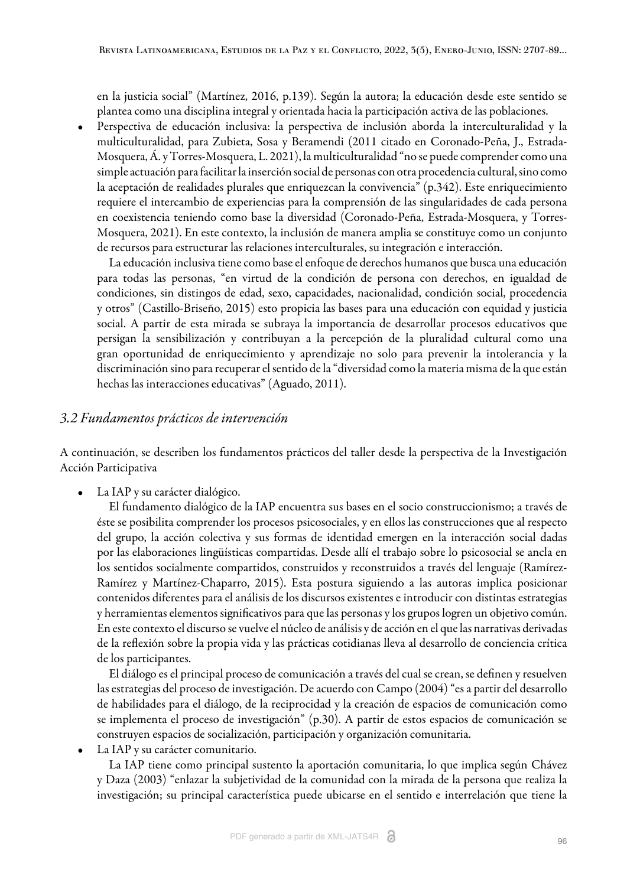en la justicia social" [\(Martínez, 2016, p.139](#page-17-13)). Según la autora; la educación desde este sentido se plantea como una disciplina integral y orientada hacia la participación activa de las poblaciones.

• Perspectiva de educación inclusiva: la perspectiva de inclusión aborda la interculturalidad y la multiculturalidad, para [Zubieta, Sosa y Beramendi \(2011](#page-17-14) citado en [Coronado-Peña, J., Estrada-](#page-16-10)[Mosquera, Á. y Torres-Mosquera, L. 2021\)](#page-16-10), la multiculturalidad "no se puede comprender como una simple actuación para facilitar la inserción social de personas con otra procedencia cultural, sino como la aceptación de realidades plurales que enriquezcan la convivencia" (p.342). Este enriquecimiento requiere el intercambio de experiencias para la comprensión de las singularidades de cada persona en coexistencia teniendo como base la diversidad [\(Coronado-Peña, Estrada-Mosquera, y Torres-](#page-16-10)[Mosquera, 2021](#page-16-10)). En este contexto, la inclusión de manera amplia se constituye como un conjunto de recursos para estructurar las relaciones interculturales, su integración e interacción.

La educación inclusiva tiene como base el enfoque de derechos humanos que busca una educación para todas las personas, "en virtud de la condición de persona con derechos, en igualdad de condiciones, sin distingos de edad, sexo, capacidades, nacionalidad, condición social, procedencia y otros" [\(Castillo-Briseño, 2015](#page-16-11)) esto propicia las bases para una educación con equidad y justicia social. A partir de esta mirada se subraya la importancia de desarrollar procesos educativos que persigan la sensibilización y contribuyan a la percepción de la pluralidad cultural como una gran oportunidad de enriquecimiento y aprendizaje no solo para prevenir la intolerancia y la discriminación sino para recuperar el sentido de la "diversidad como la materia misma de la que están hechas las interacciones educativas" ([Aguado, 2011](#page-16-12)).

#### *3.2 Fundamentos prácticos de intervención*

A continuación, se describen los fundamentos prácticos del taller desde la perspectiva de la Investigación Acción Participativa

La IAP y su carácter dialógico.

El fundamento dialógico de la IAP encuentra sus bases en el socio construccionismo; a través de éste se posibilita comprender los procesos psicosociales, y en ellos las construcciones que al respecto del grupo, la acción colectiva y sus formas de identidad emergen en la interacción social dadas por las elaboraciones lingüísticas compartidas. Desde allí el trabajo sobre lo psicosocial se ancla en los sentidos socialmente compartidos, construidos y reconstruidos a través del lenguaje [\(Ramírez-](#page-17-10)[Ramírez y Martínez-Chaparro, 2015\)](#page-17-10). Esta postura siguiendo a las autoras implica posicionar contenidos diferentes para el análisis de los discursos existentes e introducir con distintas estrategias y herramientas elementos significativos para que las personas y los grupos logren un objetivo común. En este contexto el discurso se vuelve el núcleo de análisis y de acción en el que las narrativas derivadas de la reflexión sobre la propia vida y las prácticas cotidianas lleva al desarrollo de conciencia crítica de los participantes.

El diálogo es el principal proceso de comunicación a través del cual se crean, se definen y resuelven las estrategias del proceso de investigación. De acuerdo con [Campo \(2004](#page-16-13)) "es a partir del desarrollo de habilidades para el diálogo, de la reciprocidad y la creación de espacios de comunicación como se implementa el proceso de investigación" (p.30). A partir de estos espacios de comunicación se construyen espacios de socialización, participación y organización comunitaria.

• La IAP y su carácter comunitario.

La IAP tiene como principal sustento la aportación comunitaria, lo que implica según [Chávez](#page-16-14) [y Daza \(2003\)](#page-16-14) "enlazar la subjetividad de la comunidad con la mirada de la persona que realiza la investigación; su principal característica puede ubicarse en el sentido e interrelación que tiene la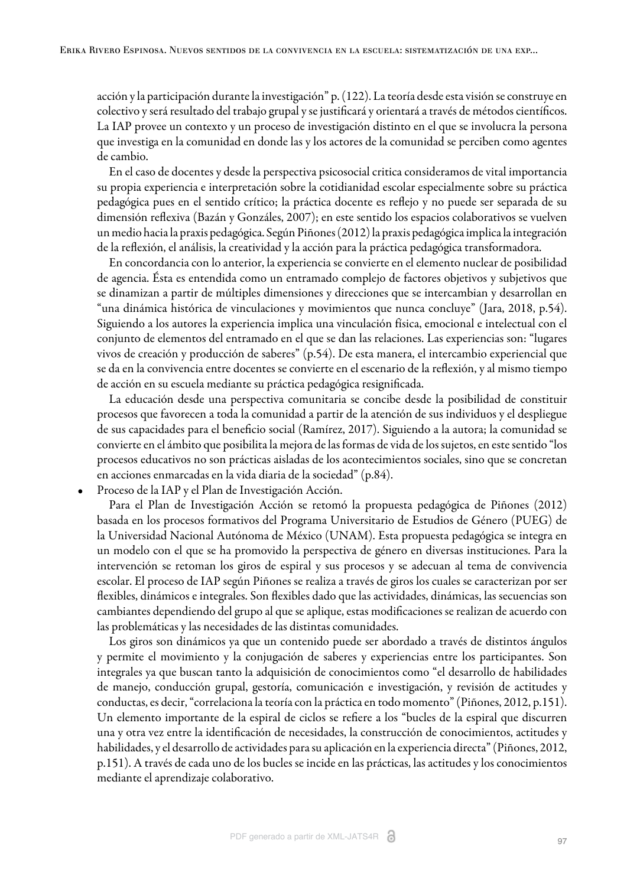acción y la participación durante la investigación" p. (122). La teoría desde esta visión se construye en colectivo y será resultado del trabajo grupal y se justificará y orientará a través de métodos científicos. La IAP provee un contexto y un proceso de investigación distinto en el que se involucra la persona que investiga en la comunidad en donde las y los actores de la comunidad se perciben como agentes de cambio.

En el caso de docentes y desde la perspectiva psicosocial critica consideramos de vital importancia su propia experiencia e interpretación sobre la cotidianidad escolar especialmente sobre su práctica pedagógica pues en el sentido crítico; la práctica docente es reflejo y no puede ser separada de su dimensión reflexiva [\(Bazán y Gonzáles, 2007\);](#page-16-15) en este sentido los espacios colaborativos se vuelven un medio hacia la praxis pedagógica. Según [Piñones \(2012\)](#page-17-9) la praxis pedagógica implica la integración de la reflexión, el análisis, la creatividad y la acción para la práctica pedagógica transformadora.

En concordancia con lo anterior, la experiencia se convierte en el elemento nuclear de posibilidad de agencia. Ésta es entendida como un entramado complejo de factores objetivos y subjetivos que se dinamizan a partir de múltiples dimensiones y direcciones que se intercambian y desarrollan en "una dinámica histórica de vinculaciones y movimientos que nunca concluye" [\(Jara, 2018, p.54\)](#page-17-1). Siguiendo a los autores la experiencia implica una vinculación física, emocional e intelectual con el conjunto de elementos del entramado en el que se dan las relaciones. Las experiencias son: "lugares vivos de creación y producción de saberes" (p.54). De esta manera, el intercambio experiencial que se da en la convivencia entre docentes se convierte en el escenario de la reflexión, y al mismo tiempo de acción en su escuela mediante su práctica pedagógica resignificada.

La educación desde una perspectiva comunitaria se concibe desde la posibilidad de constituir procesos que favorecen a toda la comunidad a partir de la atención de sus individuos y el despliegue de sus capacidades para el beneficio social [\(Ramírez, 2017\)](#page-17-15). Siguiendo a la autora; la comunidad se convierte en el ámbito que posibilita la mejora de las formas de vida de los sujetos, en este sentido "los procesos educativos no son prácticas aisladas de los acontecimientos sociales, sino que se concretan en acciones enmarcadas en la vida diaria de la sociedad" (p.84).

• Proceso de la IAP y el Plan de Investigación Acción.

Para el Plan de Investigación Acción se retomó la propuesta pedagógica de [Piñones \(2012\)](#page-17-9) basada en los procesos formativos del Programa Universitario de Estudios de Género (PUEG) de la Universidad Nacional Autónoma de México (UNAM). Esta propuesta pedagógica se integra en un modelo con el que se ha promovido la perspectiva de género en diversas instituciones. Para la intervención se retoman los giros de espiral y sus procesos y se adecuan al tema de convivencia escolar. El proceso de IAP según Piñones se realiza a través de giros los cuales se caracterizan por ser flexibles, dinámicos e integrales. Son flexibles dado que las actividades, dinámicas, las secuencias son cambiantes dependiendo del grupo al que se aplique, estas modificaciones se realizan de acuerdo con las problemáticas y las necesidades de las distintas comunidades.

Los giros son dinámicos ya que un contenido puede ser abordado a través de distintos ángulos y permite el movimiento y la conjugación de saberes y experiencias entre los participantes. Son integrales ya que buscan tanto la adquisición de conocimientos como "el desarrollo de habilidades de manejo, conducción grupal, gestoría, comunicación e investigación, y revisión de actitudes y conductas, es decir, "correlaciona la teoría con la práctica en todo momento" ([Piñones, 2012, p.151](#page-17-9)). Un elemento importante de la espiral de ciclos se refiere a los "bucles de la espiral que discurren una y otra vez entre la identificación de necesidades, la construcción de conocimientos, actitudes y habilidades, y el desarrollo de actividades para su aplicación en la experiencia directa" [\(Piñones, 2012,](#page-17-9) [p.151](#page-17-9)). A través de cada uno de los bucles se incide en las prácticas, las actitudes y los conocimientos mediante el aprendizaje colaborativo.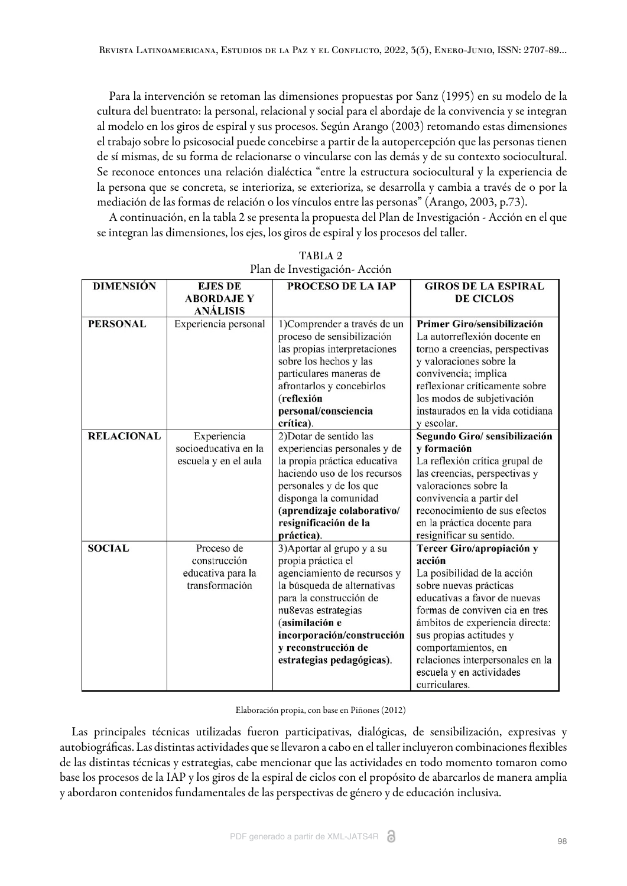Para la intervención se retoman las dimensiones propuestas por [Sanz \(1995\)](#page-17-16) en su modelo de la cultura del buentrato: la personal, relacional y social para el abordaje de la convivencia y se integran al modelo en los giros de espiral y sus procesos. Según [Arango \(2003\)](#page-16-0) retomando estas dimensiones el trabajo sobre lo psicosocial puede concebirse a partir de la autopercepción que las personas tienen de sí mismas, de su forma de relacionarse o vincularse con las demás y de su contexto sociocultural. Se reconoce entonces una relación dialéctica "entre la estructura sociocultural y la experiencia de la persona que se concreta, se interioriza, se exterioriza, se desarrolla y cambia a través de o por la mediación de las formas de relación o los vínculos entre las personas" [\(Arango, 2003, p.73](#page-16-0)).

A continuación, en l[a tabla 2](#page-11-0) se presenta la propuesta del Plan de Investigación - Acción en el que se integran las dimensiones, los ejes, los giros de espiral y los procesos del taller.

<span id="page-11-0"></span>

| <b>DIMENSIÓN</b>  | <b>EJES DE</b>       | PROCESO DE LA IAP            | <b>GIROS DE LA ESPIRAL</b>       |
|-------------------|----------------------|------------------------------|----------------------------------|
|                   | <b>ABORDAJE Y</b>    |                              | <b>DE CICLOS</b>                 |
|                   | <b>ANÁLISIS</b>      |                              |                                  |
| <b>PERSONAL</b>   | Experiencia personal | 1) Comprender a través de un | Primer Giro/sensibilización      |
|                   |                      | proceso de sensibilización   | La autorreflexión docente en     |
|                   |                      | las propias interpretaciones | torno a creencias, perspectivas  |
|                   |                      | sobre los hechos y las       | y valoraciones sobre la          |
|                   |                      | particulares maneras de      | convivencia; implica             |
|                   |                      | afrontarlos y concebirlos    | reflexionar críticamente sobre   |
|                   |                      | (reflexión                   | los modos de subjetivación       |
|                   |                      | personal/consciencia         | instaurados en la vida cotidiana |
|                   |                      | crítica).                    | y escolar.                       |
| <b>RELACIONAL</b> | Experiencia          | 2) Dotar de sentido las      | Segundo Giro/ sensibilización    |
|                   | socioeducativa en la | experiencias personales y de | y formación                      |
|                   | escuela y en el aula | la propia práctica educativa | La reflexión crítica grupal de   |
|                   |                      | haciendo uso de los recursos | las creencias, perspectivas y    |
|                   |                      | personales y de los que      | valoraciones sobre la            |
|                   |                      | disponga la comunidad        | convivencia a partir del         |
|                   |                      | (aprendizaje colaborativo/   | reconocimiento de sus efectos    |
|                   |                      | resignificación de la        | en la práctica docente para      |
|                   |                      | práctica).                   | resignificar su sentido.         |
| <b>SOCIAL</b>     | Proceso de           | 3) Aportar al grupo y a su   | Tercer Giro/apropiación y        |
|                   | construcción         | propia práctica el           | acción                           |
|                   | educativa para la    | agenciamiento de recursos y  | La posibilidad de la acción      |
|                   | transformación       | la búsqueda de alternativas  | sobre nuevas prácticas           |
|                   |                      | para la construcción de      | educativas a favor de nuevas     |
|                   |                      | nu8evas estrategias          | formas de conviven cia en tres   |
|                   |                      | (asimilación e               | ámbitos de experiencia directa:  |
|                   |                      | incorporación/construcción   | sus propias actitudes y          |
|                   |                      | y reconstrucción de          | comportamientos, en              |
|                   |                      | estrategias pedagógicas).    | relaciones interpersonales en la |
|                   |                      |                              | escuela y en actividades         |
|                   |                      |                              | curriculares.                    |

TABLA 2 Plan de Investigación- Acción

Elaboración propia, con base en [Piñones \(2012\)](#page-17-9)

Las principales técnicas utilizadas fueron participativas, dialógicas, de sensibilización, expresivas y autobiográficas. Las distintas actividades que se llevaron a cabo en el taller incluyeron combinaciones flexibles de las distintas técnicas y estrategias, cabe mencionar que las actividades en todo momento tomaron como base los procesos de la IAP y los giros de la espiral de ciclos con el propósito de abarcarlos de manera amplia y abordaron contenidos fundamentales de las perspectivas de género y de educación inclusiva.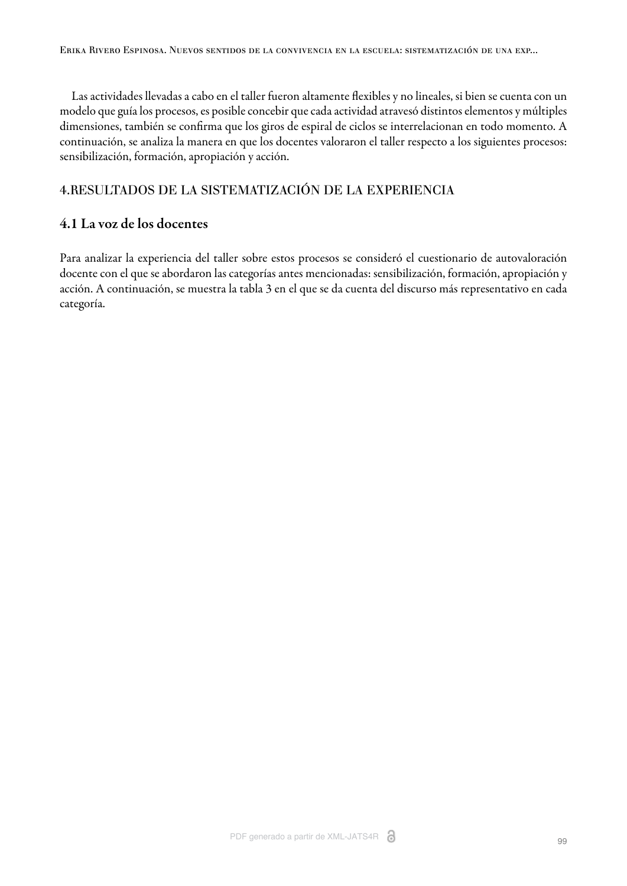Las actividades llevadas a cabo en el taller fueron altamente flexibles y no lineales, si bien se cuenta con un modelo que guía los procesos, es posible concebir que cada actividad atravesó distintos elementos y múltiples dimensiones, también se confirma que los giros de espiral de ciclos se interrelacionan en todo momento. A continuación, se analiza la manera en que los docentes valoraron el taller respecto a los siguientes procesos: sensibilización, formación, apropiación y acción.

#### 4.RESULTADOS DE LA SISTEMATIZACIÓN DE LA EXPERIENCIA

#### 4.1 La voz de los docentes

Para analizar la experiencia del taller sobre estos procesos se consideró el cuestionario de autovaloración docente con el que se abordaron las categorías antes mencionadas: sensibilización, formación, apropiación y acción. A continuación, se muestra la [tabla 3](#page-13-0) en el que se da cuenta del discurso más representativo en cada categoría.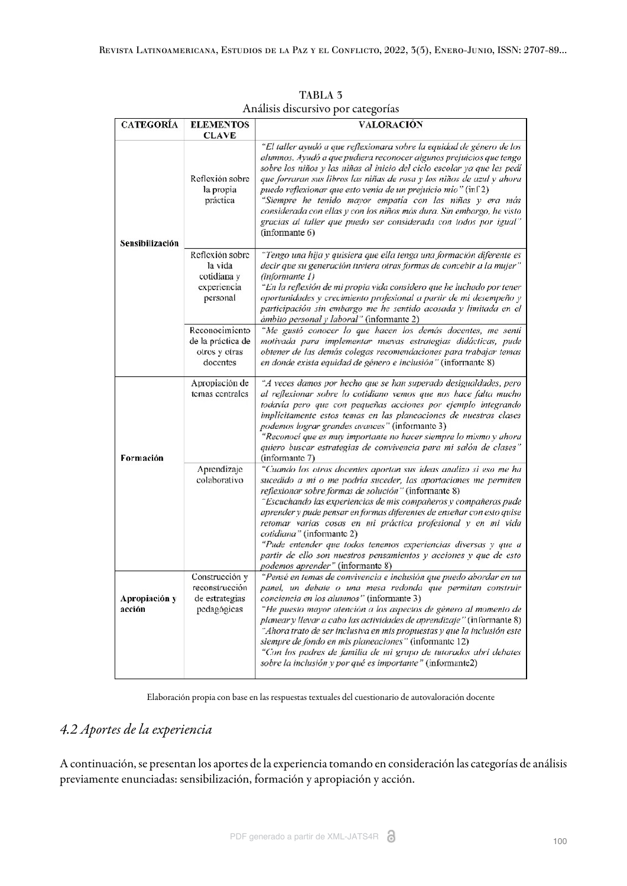<span id="page-13-0"></span>

|                         |                                                                      | O                                                                                                                                                                                                                                                                                                                                                                                                                                                                                                                                                                                                                 |
|-------------------------|----------------------------------------------------------------------|-------------------------------------------------------------------------------------------------------------------------------------------------------------------------------------------------------------------------------------------------------------------------------------------------------------------------------------------------------------------------------------------------------------------------------------------------------------------------------------------------------------------------------------------------------------------------------------------------------------------|
| <b>CATEGORÍA</b>        | <b>ELEMENTOS</b><br><b>CLAVE</b>                                     | <b>VALORACIÓN</b>                                                                                                                                                                                                                                                                                                                                                                                                                                                                                                                                                                                                 |
| Sensibilización         | Reflexión sobre<br>la propia<br>práctica                             | "El taller ayudó a que reflexionara sobre la equidad de género de los<br>alumnos. Ayudó a que pudiera reconocer algunos prejuicios que tengo<br>sobre los niños y las niñas al inicio del ciclo escolar ya que les pedí<br>que forraran sus libros las niñas de rosa y los niños de azul y ahora<br>puedo reflexionar que esto venía de un prejuicio mío" (inf2)<br>"Siempre he tenido mayor empatía con las niñas y era más<br>considerada con ellas y con los niños más dura. Sin embargo, he visto<br>gracias al taller que puedo ser considerada con todos por igual"<br>(informante 6)                       |
|                         | Reflexión sobre<br>la vida<br>cotidiana y<br>experiencia<br>personal | "Tengo una hija y quisiera que ella tenga una formación diferente es<br>decir que su generación tuviera otras formas de concebir a la mujer"<br>(informante 1)<br>"En la reflexión de mi propia vida considero que he luchado por tener<br>oportunidades y crecimiento profesional a partir de mi desempeño y<br>participación sin embargo me he sentido acosada y limitada en el<br>ámbito personal y laboral" (informante 2)                                                                                                                                                                                    |
|                         | Reconocimiento<br>de la práctica de<br>otros y otras<br>docentes     | "Me gustó conocer lo que hacen los demás docentes, me senti<br>motivada para implementar nuevas estrategias didácticas, pude<br>obtener de las demás colegas recomendaciones para trabajar temas<br>en donde exista equidad de género e inclusión" (informante 8)                                                                                                                                                                                                                                                                                                                                                 |
| Formación               | Apropiación de<br>temas centrales                                    | "A veces damos por hecho que se han superado desigualdades, pero<br>al reflexionar sobre lo cotidiano vemos que nos hace falta mucho<br>todavía pero que con pequeñas acciones por ejemplo integrando<br>implicitamente estos temas en las planeaciones de nuestras clases<br>podemos lograr grandes avances" (informante 3)<br>"Reconocí que es muy importante no hacer siempre lo mismo y ahora<br>quiero buscar estrategias de convivencia para mi salón de clases"<br>(informante 7)                                                                                                                          |
|                         | Aprendizaje<br>colaborativo                                          | "Cuando los otros docentes aportan sus ideas analizo si eso me ha<br>sucedido a mi o me podría suceder, las aportaciones me permiten<br>reflexionar sobre formas de solución" (informante 8)<br>"Escuchando las experiencias de mis compañeros y compañeras pude<br>aprender y pude pensar en formas diferentes de enseñar con esto quise<br>retomar varias cosas en mi práctica profesional y en mi vida<br>cotidiana" (informante 2)<br>"Pude entender que todos tenemos experiencias diversas y que a<br>partir de ello son nuestros pensamientos y acciones y que de esto<br>podemos aprender" (informante 8) |
| Apropiación y<br>acción | Construcción y<br>reconstrucción<br>de estrategias<br>pedagógicas    | "Pensé en temas de convivencia e inclusión que puedo abordar en un<br>panel, un debate o una mesa redonda que permitan construir<br>conciencia en los alumnos" (informante 3)<br>"He puesto mayor atención a los aspectos de género al momento de<br>planear y llevar a cabo las actividades de aprendizaje" (informante 8)<br>"Ahora trato de ser inclusiva en mis propuestas y que la inclusión este<br>siempre de fondo en mis planeaciones" (informante 12)<br>"Con los padres de familia de mi grupo de tutorados abrí debates<br>sobre la inclusión y por qué es importante" (informante2)                  |

TABLA 3 Análisis discursivo por categorías

Elaboración propia con base en las respuestas textuales del cuestionario de autovaloración docente

## *4.2 Aportes de la experiencia*

A continuación, se presentan los aportes de la experiencia tomando en consideración las categorías de análisis previamente enunciadas: sensibilización, formación y apropiación y acción.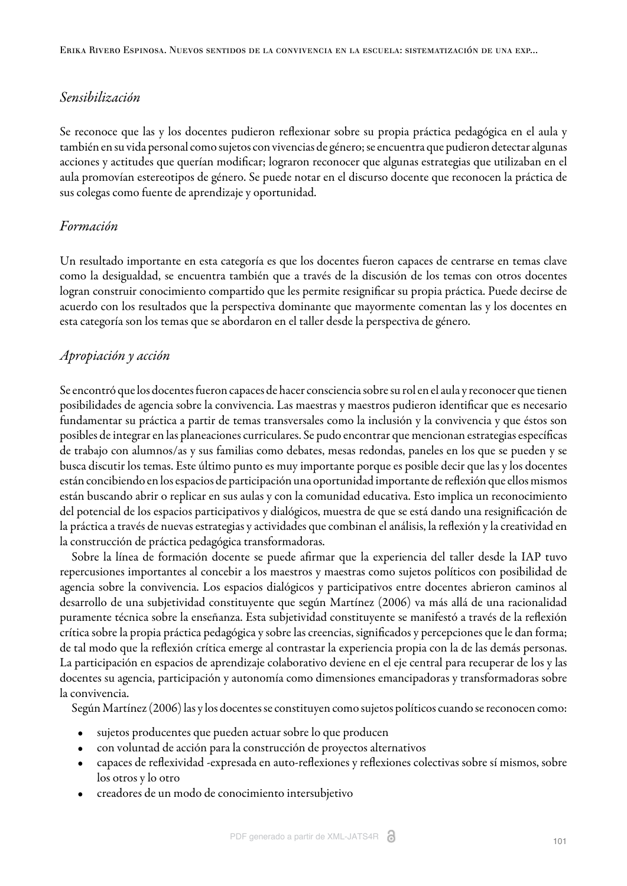## *Sensibilización*

Se reconoce que las y los docentes pudieron reflexionar sobre su propia práctica pedagógica en el aula y también en su vida personal como sujetos con vivencias de género; se encuentra que pudieron detectar algunas acciones y actitudes que querían modificar; lograron reconocer que algunas estrategias que utilizaban en el aula promovían estereotipos de género. Se puede notar en el discurso docente que reconocen la práctica de sus colegas como fuente de aprendizaje y oportunidad.

#### *Formación*

Un resultado importante en esta categoría es que los docentes fueron capaces de centrarse en temas clave como la desigualdad, se encuentra también que a través de la discusión de los temas con otros docentes logran construir conocimiento compartido que les permite resignificar su propia práctica. Puede decirse de acuerdo con los resultados que la perspectiva dominante que mayormente comentan las y los docentes en esta categoría son los temas que se abordaron en el taller desde la perspectiva de género.

## *Apropiación y acción*

Se encontró que los docentes fueron capaces de hacer consciencia sobre su rol en el aula y reconocer que tienen posibilidades de agencia sobre la convivencia. Las maestras y maestros pudieron identificar que es necesario fundamentar su práctica a partir de temas transversales como la inclusión y la convivencia y que éstos son posibles de integrar en las planeaciones curriculares. Se pudo encontrar que mencionan estrategias específicas de trabajo con alumnos/as y sus familias como debates, mesas redondas, paneles en los que se pueden y se busca discutir los temas. Este último punto es muy importante porque es posible decir que las y los docentes están concibiendo en los espacios de participación una oportunidad importante de reflexión que ellos mismos están buscando abrir o replicar en sus aulas y con la comunidad educativa. Esto implica un reconocimiento del potencial de los espacios participativos y dialógicos, muestra de que se está dando una resignificación de la práctica a través de nuevas estrategias y actividades que combinan el análisis, la reflexión y la creatividad en la construcción de práctica pedagógica transformadoras.

Sobre la línea de formación docente se puede afirmar que la experiencia del taller desde la IAP tuvo repercusiones importantes al concebir a los maestros y maestras como sujetos políticos con posibilidad de agencia sobre la convivencia. Los espacios dialógicos y participativos entre docentes abrieron caminos al desarrollo de una subjetividad constituyente que según [Martínez \(2006\)](#page-17-2) va más allá de una racionalidad puramente técnica sobre la enseñanza. Esta subjetividad constituyente se manifestó a través de la reflexión crítica sobre la propia práctica pedagógica y sobre las creencias, significados y percepciones que le dan forma; de tal modo que la reflexión crítica emerge al contrastar la experiencia propia con la de las demás personas. La participación en espacios de aprendizaje colaborativo deviene en el eje central para recuperar de los y las docentes su agencia, participación y autonomía como dimensiones emancipadoras y transformadoras sobre la convivencia.

Según [Martínez \(2006\)](#page-17-2) las y los docentes se constituyen como sujetos políticos cuando se reconocen como:

- sujetos producentes que pueden actuar sobre lo que producen
- con voluntad de acción para la construcción de proyectos alternativos
- capaces de reflexividad -expresada en auto-reflexiones y reflexiones colectivas sobre sí mismos, sobre los otros y lo otro
- creadores de un modo de conocimiento intersubjetivo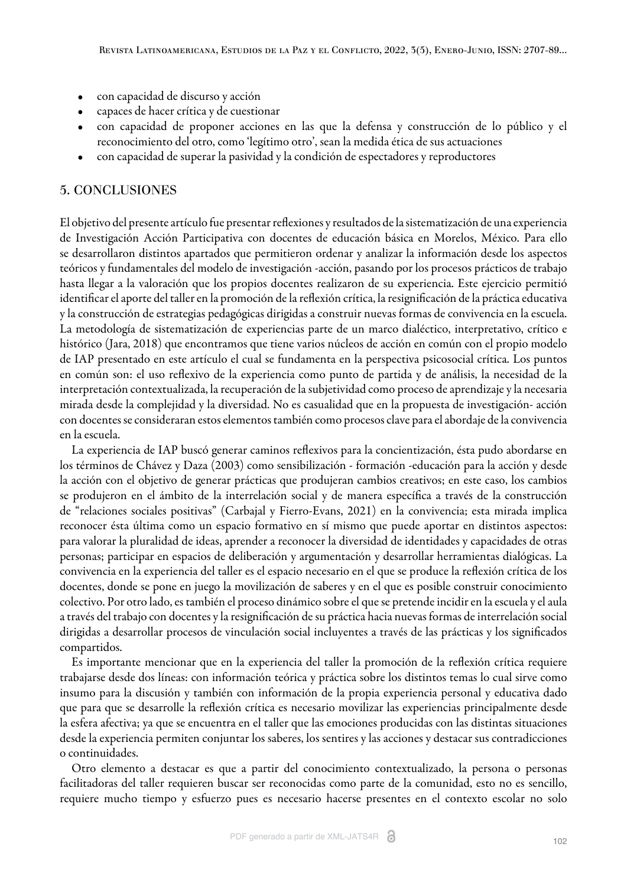- con capacidad de discurso y acción
- capaces de hacer crítica y de cuestionar
- con capacidad de proponer acciones en las que la defensa y construcción de lo público y el reconocimiento del otro, como 'legítimo otro', sean la medida ética de sus actuaciones
- con capacidad de superar la pasividad y la condición de espectadores y reproductores

### 5. CONCLUSIONES

El objetivo del presente artículo fue presentar reflexiones y resultados de la sistematización de una experiencia de Investigación Acción Participativa con docentes de educación básica en Morelos, México. Para ello se desarrollaron distintos apartados que permitieron ordenar y analizar la información desde los aspectos teóricos y fundamentales del modelo de investigación -acción, pasando por los procesos prácticos de trabajo hasta llegar a la valoración que los propios docentes realizaron de su experiencia. Este ejercicio permitió identificar el aporte del taller en la promoción de la reflexión crítica, la resignificación de la práctica educativa y la construcción de estrategias pedagógicas dirigidas a construir nuevas formas de convivencia en la escuela. La metodología de sistematización de experiencias parte de un marco dialéctico, interpretativo, crítico e histórico [\(Jara, 2018\)](#page-17-1) que encontramos que tiene varios núcleos de acción en común con el propio modelo de IAP presentado en este artículo el cual se fundamenta en la perspectiva psicosocial crítica. Los puntos en común son: el uso reflexivo de la experiencia como punto de partida y de análisis, la necesidad de la interpretación contextualizada, la recuperación de la subjetividad como proceso de aprendizaje y la necesaria mirada desde la complejidad y la diversidad. No es casualidad que en la propuesta de investigación- acción con docentes se consideraran estos elementos también como procesos clave para el abordaje de la convivencia en la escuela.

La experiencia de IAP buscó generar caminos reflexivos para la concientización, ésta pudo abordarse en los términos de [Chávez y Daza \(2003\)](#page-16-14) como sensibilización - formación -educación para la acción y desde la acción con el objetivo de generar prácticas que produjeran cambios creativos; en este caso, los cambios se produjeron en el ámbito de la interrelación social y de manera específica a través de la construcción de "relaciones sociales positivas" ([Carbajal y Fierro-Evans, 2021](#page-16-6)) en la convivencia; esta mirada implica reconocer ésta última como un espacio formativo en sí mismo que puede aportar en distintos aspectos: para valorar la pluralidad de ideas, aprender a reconocer la diversidad de identidades y capacidades de otras personas; participar en espacios de deliberación y argumentación y desarrollar herramientas dialógicas. La convivencia en la experiencia del taller es el espacio necesario en el que se produce la reflexión crítica de los docentes, donde se pone en juego la movilización de saberes y en el que es posible construir conocimiento colectivo. Por otro lado, es también el proceso dinámico sobre el que se pretende incidir en la escuela y el aula a través del trabajo con docentes y la resignificación de su práctica hacia nuevas formas de interrelación social dirigidas a desarrollar procesos de vinculación social incluyentes a través de las prácticas y los significados compartidos.

Es importante mencionar que en la experiencia del taller la promoción de la reflexión crítica requiere trabajarse desde dos líneas: con información teórica y práctica sobre los distintos temas lo cual sirve como insumo para la discusión y también con información de la propia experiencia personal y educativa dado que para que se desarrolle la reflexión crítica es necesario movilizar las experiencias principalmente desde la esfera afectiva; ya que se encuentra en el taller que las emociones producidas con las distintas situaciones desde la experiencia permiten conjuntar los saberes, los sentires y las acciones y destacar sus contradicciones o continuidades.

Otro elemento a destacar es que a partir del conocimiento contextualizado, la persona o personas facilitadoras del taller requieren buscar ser reconocidas como parte de la comunidad, esto no es sencillo, requiere mucho tiempo y esfuerzo pues es necesario hacerse presentes en el contexto escolar no solo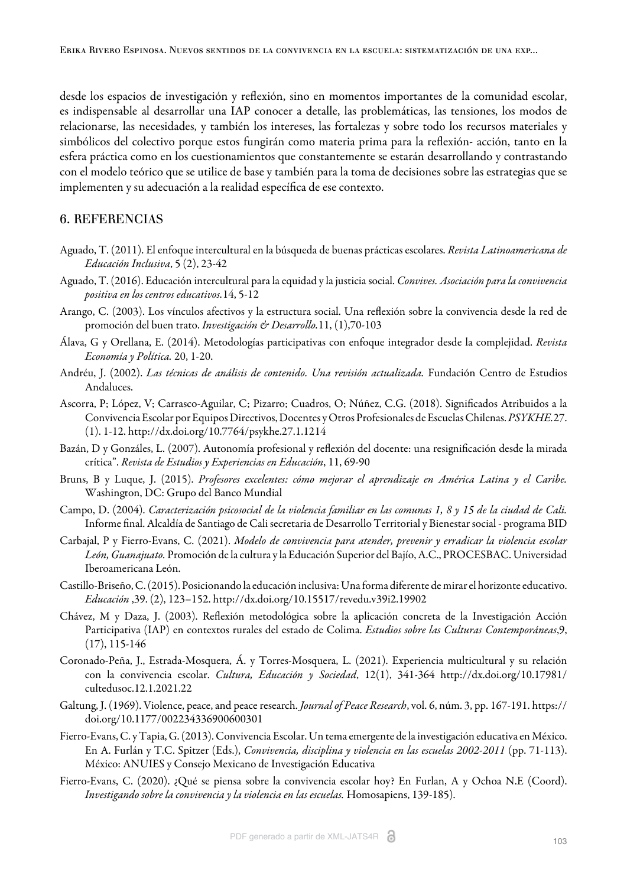desde los espacios de investigación y reflexión, sino en momentos importantes de la comunidad escolar, es indispensable al desarrollar una IAP conocer a detalle, las problemáticas, las tensiones, los modos de relacionarse, las necesidades, y también los intereses, las fortalezas y sobre todo los recursos materiales y simbólicos del colectivo porque estos fungirán como materia prima para la reflexión- acción, tanto en la esfera práctica como en los cuestionamientos que constantemente se estarán desarrollando y contrastando con el modelo teórico que se utilice de base y también para la toma de decisiones sobre las estrategias que se implementen y su adecuación a la realidad específica de ese contexto.

#### 6. REFERENCIAS

- <span id="page-16-12"></span>Aguado, T. (2011). El enfoque intercultural en la búsqueda de buenas prácticas escolares. *Revista Latinoamericana de Educación Inclusiva*, 5 (2), 23-42
- <span id="page-16-2"></span>Aguado, T. (2016). Educación intercultural para la equidad y la justicia social. *Convives. Asociación para la convivencia positiva en los centros educativos.*14, 5-12
- <span id="page-16-0"></span>Arango, C. (2003). Los vínculos afectivos y la estructura social. Una reflexión sobre la convivencia desde la red de promoción del buen trato. *Investigación & Desarrollo.*11, (1),70-103
- <span id="page-16-8"></span>Álava, G y Orellana, E. (2014). Metodologías participativas con enfoque integrador desde la complejidad. *Revista Economía y Política.* 20, 1-20.
- <span id="page-16-9"></span>Andréu, J. (2002). *Las técnicas de análisis de contenido. Una revisión actualizada.* Fundación Centro de Estudios Andaluces.
- <span id="page-16-3"></span>Ascorra, P; López, V; Carrasco-Aguilar, C; Pizarro; Cuadros, O; Núñez, C.G. (2018). Significados Atribuidos a la Convivencia Escolar por Equipos Directivos, Docentes y Otros Profesionales de Escuelas Chilenas. *PSYKHE.*27. (1). 1-12. http://dx.doi.org/10.7764/psykhe.27.1.1214
- <span id="page-16-15"></span>Bazán, D y Gonzáles, L. (2007). Autonomía profesional y reflexión del docente: una resignificación desde la mirada crítica". *Revista de Estudios y Experiencias en Educación*, 11, 69-90
- <span id="page-16-4"></span>Bruns, B y Luque, J. (2015). *Profesores excelentes: cómo mejorar el aprendizaje en América Latina y el Caribe.* Washington, DC: Grupo del Banco Mundial
- <span id="page-16-13"></span>Campo, D. (2004). *Caracterización psicosocial de la violencia familiar en las comunas 1, 8 y 15 de la ciudad de Cali.* Informe final. Alcaldía de Santiago de Cali secretaria de Desarrollo Territorial y Bienestar social - programa BID
- <span id="page-16-6"></span>Carbajal, P y Fierro-Evans, C. (2021). *Modelo de convivencia para atender, prevenir y erradicar la violencia escolar León, Guanajuato.* Promoción de la cultura y la Educación Superior del Bajío, A.C., PROCESBAC. Universidad Iberoamericana León.
- <span id="page-16-11"></span>Castillo-Briseño, C. (2015). Posicionando la educación inclusiva: Una forma diferente de mirar el horizonte educativo. *Educación* ,39. (2), 123–152. http://dx.doi.org/10.15517/revedu.v39i2.19902
- <span id="page-16-14"></span>Chávez, M y Daza, J. (2003). Reflexión metodológica sobre la aplicación concreta de la Investigación Acción Participativa (IAP) en contextos rurales del estado de Colima. *Estudios sobre las Culturas Contemporáneas*,9,  $(17), 115-146$
- <span id="page-16-10"></span>Coronado-Peña, J., Estrada-Mosquera, Á. y Torres-Mosquera, L. (2021). Experiencia multicultural y su relación con la convivencia escolar. *Cultura, Educación y Sociedad*, 12(1), 341-364 http://dx.doi.org/10.17981/ cultedusoc.12.1.2021.22
- <span id="page-16-7"></span>Galtung, J. (1969). Violence, peace, and peace research. *Journal of Peace Research*, vol. 6, núm. 3, pp. 167-191. https:// doi.org/10.1177/002234336900600301
- <span id="page-16-5"></span>Fierro-Evans, C. y Tapia, G. (2013). Convivencia Escolar. Un tema emergente de la investigación educativa en México. En A. Furlán y T.C. Spitzer (Eds.), *Convivencia, disciplina y violencia en las escuelas 2002-2011* (pp. 71-113). México: ANUIES y Consejo Mexicano de Investigación Educativa
- <span id="page-16-1"></span>Fierro-Evans, C. (2020). ¿Qué se piensa sobre la convivencia escolar hoy? En Furlan, A y Ochoa N.E (Coord). *Investigando sobre la convivencia y la violencia en las escuelas.* Homosapiens, 139-185).